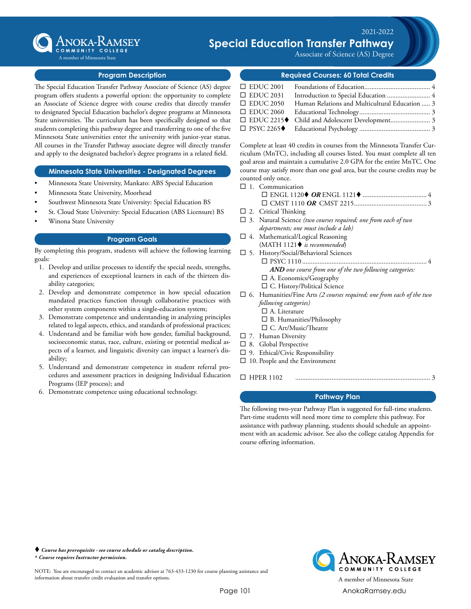

### $\times 2021 - 2022$ Trainates Dadhurans **ANOKA-KAMSEY Special Education Transfer Pathway**

Associate of Science (AS) Degree

### **Program Description**

The Special Education Transfer Pathway Associate of Science (AS) degree program offers students a powerful option: the opportunity to complete an Associate of Science degree with course credits that directly transfer to designated Special Education bachelor's degree programs at Minnesota State universities. The curriculum has been specifically designed so that students completing this pathway degree and transferring to one of the five Minnesota State universities enter the university with junior-year status. All courses in the Transfer Pathway associate degree will directly transfer and apply to the designated bachelor's degree programs in a related field.

### **Minnesota State Universities - Designated Degrees**

- Minnesota State University, Mankato: ABS Special Education
- Minnesota State University, Moorhead
- Southwest Minnesota State University: Special Education BS
- St. Cloud State University: Special Education (ABS Licensure) BS
- Winona State University

#### **Program Goals**

By completing this program, students will achieve the following learning goals:

- 1. Develop and utilize processes to identify the special needs, strengths, and experiences of exceptional learners in each of the thirteen disability categories;
- 2. Develop and demonstrate competence in how special education mandated practices function through collaborative practices with other system components within a single-education system;
- 3. Demonstrate competence and understanding in analyzing principles related to legal aspects, ethics, and standards of professional practices;
- 4. Understand and be familiar with how gender, familial background, socioeconomic status, race, culture, existing or potential medical aspects of a learner, and linguistic diversity can impact a learner's disability;
- 5. Understand and demonstrate competence in student referral procedures and assessment practices in designing Individual Education Programs (IEP process); and
- 6. Demonstrate competence using educational technology.

### **Required Courses: 60 Total Credits**

| $\Box$ EDUC 2001 |                                                |  |
|------------------|------------------------------------------------|--|
| $\Box$ EDUC 2031 |                                                |  |
| $\Box$ EDUC 2050 | Human Relations and Multicultural Education  3 |  |
|                  |                                                |  |
|                  |                                                |  |
|                  |                                                |  |

Complete at least 40 credits in courses from the Minnesota Transfer Curriculum (MnTC), including all courses listed. You must complete all ten goal areas and maintain a cumulative 2.0 GPA for the entire MnTC. One course may satisfy more than one goal area, but the course credits may be counted only once.

- $\square$  1. Communication
	- ¨ ENGL 1120t *OR* ENGL 1121t...................................... 4 ¨ CMST 1110 *OR* CMST 2215........................................... 3
- $\square$  2. Critical Thinking
- □ 3. Natural Science (two courses required; one from each of two *departments; one must include a lab)*
- $\square$  4. Mathematical/Logical Reasoning (MATH 1121♦ *is recommended*)
- $\square$  5. History/Social/Behavioral Sciences ¨ PSYC 1110......................................................................... 4 *AND one course from one of the two following categories:*  $\square$  A. Economics/Geography  $\square$  C. History/Political Science
- ¨ 6. Humanities/Fine Arts *(2 courses required; one from each of the two following categories)*
	- $\square$  A. Literature
	- $\square$  B. Humanities/Philosophy
	- □ C. Art/Music/Theatre
- $\square$  7. Human Diversity
- $\square$  8. Global Perspective
- $\square$  9. Ethical/Civic Responsibility
- $\Box$  10. People and the Environment

¨ HPER 1102............................................................................... 3

## **Pathway Plan**

The following two-year Pathway Plan is suggested for full-time students. Part-time students will need more time to complete this pathway. For assistance with pathway planning, students should schedule an appointment with an academic advisor. See also the college catalog Appendix for course offering information.

 *Course has prerequisite - see course schedule or catalog description. ^ Course requires Instructor permission.*

NOTE: You are encouraged to contact an academic advisor at 763-433-1230 for course planning assistance and information about transfer credit evaluation and transfer options.